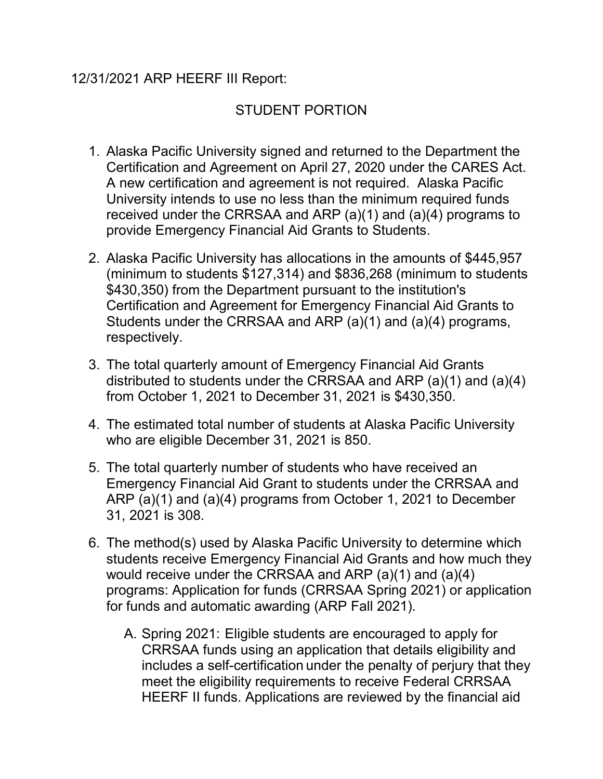## 12/31/2021 ARP HEERF III Report:

## STUDENT PORTION

- 1. Alaska Pacific University signed and returned to the Department the Certification and Agreement on April 27, 2020 under the CARES Act. A new certification and agreement is not required. Alaska Pacific University intends to use no less than the minimum required funds received under the CRRSAA and ARP (a)(1) and (a)(4) programs to provide Emergency Financial Aid Grants to Students.
- 2. Alaska Pacific University has allocations in the amounts of \$445,957 (minimum to students \$127,314) and \$836,268 (minimum to students \$430,350) from the Department pursuant to the institution's Certification and Agreement for Emergency Financial Aid Grants to Students under the CRRSAA and ARP (a)(1) and (a)(4) programs, respectively.
- 3. The total quarterly amount of Emergency Financial Aid Grants distributed to students under the CRRSAA and ARP (a)(1) and (a)(4) from October 1, 2021 to December 31, 2021 is \$430,350.
- 4. The estimated total number of students at Alaska Pacific University who are eligible December 31, 2021 is 850.
- 5. The total quarterly number of students who have received an Emergency Financial Aid Grant to students under the CRRSAA and ARP (a)(1) and (a)(4) programs from October 1, 2021 to December 31, 2021 is 308.
- 6. The method(s) used by Alaska Pacific University to determine which students receive Emergency Financial Aid Grants and how much they would receive under the CRRSAA and ARP (a)(1) and (a)(4) programs: Application for funds (CRRSAA Spring 2021) or application for funds and automatic awarding (ARP Fall 2021).
	- A. Spring 2021: Eligible students are encouraged to apply for CRRSAA funds using an application that details eligibility and includes a self-certification under the penalty of perjury that they meet the eligibility requirements to receive Federal CRRSAA HEERF II funds. Applications are reviewed by the financial aid